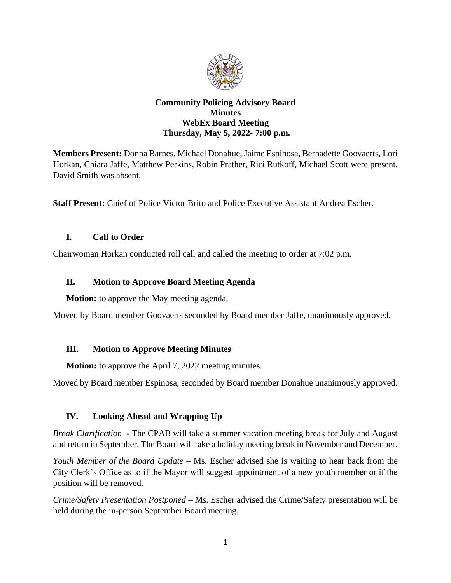

#### **Community Policing Advisory Board Minutes WebEx Board Meeting Thursday, May 5, 2022- 7:00 p.m.**

**Members Present:** Donna Barnes, Michael Donahue, Jaime Espinosa, Bernadette Goovaerts, Lori Horkan, Chiara Jaffe, Matthew Perkins, Robin Prather, Rici Rutkoff, Michael Scott were present. David Smith was absent.

**Staff Present:** Chief of Police Victor Brito and Police Executive Assistant Andrea Escher.

### **I. Call to Order**

Chairwoman Horkan conducted roll call and called the meeting to order at 7:02 p.m.

# **II. Motion to Approve Board Meeting Agenda**

**Motion:** to approve the May meeting agenda.

Moved by Board member Goovaerts seconded by Board member Jaffe, unanimously approved.

# **III. Motion to Approve Meeting Minutes**

**Motion:** to approve the April 7, 2022 meeting minutes.

Moved by Board member Espinosa, seconded by Board member Donahue unanimously approved.

# **IV. Looking Ahead and Wrapping Up**

*Break Clarification* - The CPAB will take a summer vacation meeting break for July and August and return in September. The Board will take a holiday meeting break in November and December.

*Youth Member of the Board Update* – Ms. Escher advised she is waiting to hear back from the City Clerk's Office as to if the Mayor will suggest appointment of a new youth member or if the position will be removed.

*Crime/Safety Presentation Postponed –* Ms. Escher advised the Crime/Safety presentation will be held during the in-person September Board meeting.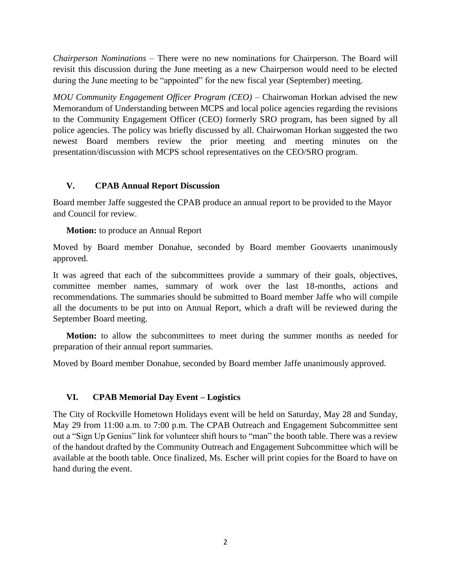*Chairperson Nominations –* There were no new nominations for Chairperson. The Board will revisit this discussion during the June meeting as a new Chairperson would need to be elected during the June meeting to be "appointed" for the new fiscal year (September) meeting.

*MOU Community Engagement Officer Program (CEO) –* Chairwoman Horkan advised the new Memorandum of Understanding between MCPS and local police agencies regarding the revisions to the Community Engagement Officer (CEO) formerly SRO program, has been signed by all police agencies. The policy was briefly discussed by all. Chairwoman Horkan suggested the two newest Board members review the prior meeting and meeting minutes on the presentation/discussion with MCPS school representatives on the CEO/SRO program.

### **V. CPAB Annual Report Discussion**

Board member Jaffe suggested the CPAB produce an annual report to be provided to the Mayor and Council for review.

**Motion:** to produce an Annual Report

Moved by Board member Donahue, seconded by Board member Goovaerts unanimously approved.

It was agreed that each of the subcommittees provide a summary of their goals, objectives, committee member names, summary of work over the last 18-months, actions and recommendations. The summaries should be submitted to Board member Jaffe who will compile all the documents to be put into on Annual Report, which a draft will be reviewed during the September Board meeting.

**Motion:** to allow the subcommittees to meet during the summer months as needed for preparation of their annual report summaries.

Moved by Board member Donahue, seconded by Board member Jaffe unanimously approved.

### **VI. CPAB Memorial Day Event – Logistics**

The City of Rockville Hometown Holidays event will be held on Saturday, May 28 and Sunday, May 29 from 11:00 a.m. to 7:00 p.m. The CPAB Outreach and Engagement Subcommittee sent out a "Sign Up Genius" link for volunteer shift hours to "man" the booth table. There was a review of the handout drafted by the Community Outreach and Engagement Subcommittee which will be available at the booth table. Once finalized, Ms. Escher will print copies for the Board to have on hand during the event.